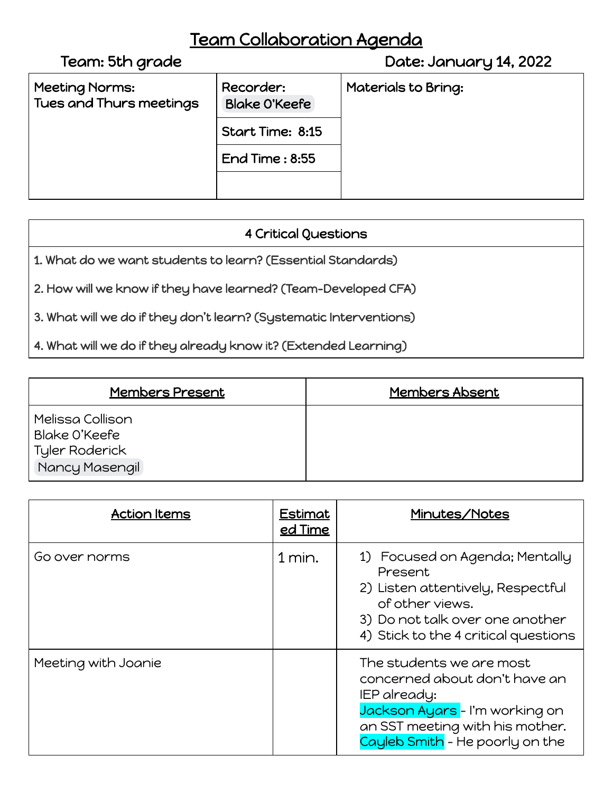## Team Collaboration Agenda

| Team: 5th grade                           |                                   | Date: January 14, 2022 |
|-------------------------------------------|-----------------------------------|------------------------|
| Meeting Norms:<br>Tues and Thurs meetings | Recorder:<br><b>Blake O'Keefe</b> | Materials to Bring:    |
|                                           | Start Time: 8:15                  |                        |
|                                           | End Time: $8:55$                  |                        |
|                                           |                                   |                        |
|                                           |                                   |                        |

## 4 Critical Questions

1. What do we want students to learn? (Essential Standards)

2. How will we know if they have learned? (Team-Developed CFA)

3. What will we do if they don't learn? (Systematic Interventions)

4. What will we do if they already know it? (Extended Learning)

| <b>Members Present</b>                                                | <b>Members Absent</b> |
|-----------------------------------------------------------------------|-----------------------|
| Melissa Collison<br>Blake O'Keefe<br>Tyler Roderick<br>Nancy Masengil |                       |

| <b>Action Items</b> | <b>Estimat</b><br><u>ed Time</u> | Minutes/Notes                                                                                                                                                                     |
|---------------------|----------------------------------|-----------------------------------------------------------------------------------------------------------------------------------------------------------------------------------|
| Go over norms       | $1$ min.                         | 1) Focused on Agenda; Mentally<br>Present<br>2) Listen attentively, Respectful<br>of other views.<br>3) Do not talk over one another<br>4) Stick to the 4 critical questions      |
| Meeting with Joanie |                                  | The students we are most<br>concerned about don't have an<br>IEP already:<br>Jackson Ayars - I'm working on<br>an SST meeting with his mother.<br>Cayleb Smith - He poorly on the |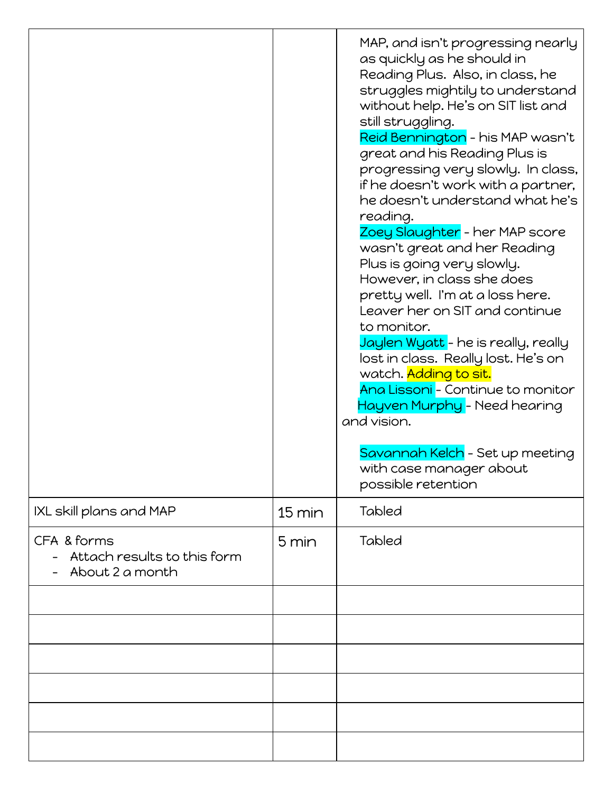|                                                               |                  | MAP, and isn't progressing nearly<br>as quickly as he should in<br>Reading Plus. Also, in class, he<br>struggles mightily to understand<br>without help. He's on SIT list and<br>still struggling.<br>Reid Bennington – his MAP wasn't<br>great and his Reading Plus is<br>progressing very slowly. In class,<br>if he doesn't work with a partner,<br>he doesn't understand what he's<br>reading.<br>Zoey Slaughter - her MAP score<br>wasn't great and her Reading<br>Plus is going very slowly.<br>However, in class she does<br>pretty well. I'm at a loss here.<br>Leaver her on SIT and continue<br>to monitor.<br>Jaylen Wyatt - he is really, really<br>lost in class. Really lost. He's on<br>watch. Adding to sit.<br>Ana Lissoni - Continue to monitor<br>Hayven Murphy - Need hearing<br>and vision.<br>Savannah Kelch - Set up meeting<br>with case manager about<br>possible retention |
|---------------------------------------------------------------|------------------|------------------------------------------------------------------------------------------------------------------------------------------------------------------------------------------------------------------------------------------------------------------------------------------------------------------------------------------------------------------------------------------------------------------------------------------------------------------------------------------------------------------------------------------------------------------------------------------------------------------------------------------------------------------------------------------------------------------------------------------------------------------------------------------------------------------------------------------------------------------------------------------------------|
| IXL skill plans and MAP                                       | $15 \text{ min}$ | <b>Tabled</b>                                                                                                                                                                                                                                                                                                                                                                                                                                                                                                                                                                                                                                                                                                                                                                                                                                                                                        |
| CFA & forms<br>Attach results to this form<br>About 2 a month | 5 min            | <b>Tabled</b>                                                                                                                                                                                                                                                                                                                                                                                                                                                                                                                                                                                                                                                                                                                                                                                                                                                                                        |
|                                                               |                  |                                                                                                                                                                                                                                                                                                                                                                                                                                                                                                                                                                                                                                                                                                                                                                                                                                                                                                      |
|                                                               |                  |                                                                                                                                                                                                                                                                                                                                                                                                                                                                                                                                                                                                                                                                                                                                                                                                                                                                                                      |
|                                                               |                  |                                                                                                                                                                                                                                                                                                                                                                                                                                                                                                                                                                                                                                                                                                                                                                                                                                                                                                      |
|                                                               |                  |                                                                                                                                                                                                                                                                                                                                                                                                                                                                                                                                                                                                                                                                                                                                                                                                                                                                                                      |
|                                                               |                  |                                                                                                                                                                                                                                                                                                                                                                                                                                                                                                                                                                                                                                                                                                                                                                                                                                                                                                      |
|                                                               |                  |                                                                                                                                                                                                                                                                                                                                                                                                                                                                                                                                                                                                                                                                                                                                                                                                                                                                                                      |